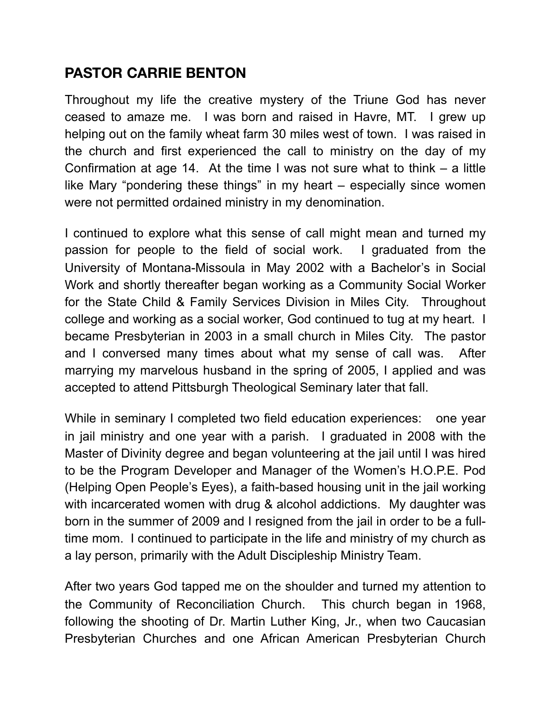## **PASTOR CARRIE BENTON**

Throughout my life the creative mystery of the Triune God has never ceased to amaze me. I was born and raised in Havre, MT. I grew up helping out on the family wheat farm 30 miles west of town. I was raised in the church and first experienced the call to ministry on the day of my Confirmation at age 14. At the time I was not sure what to think – a little like Mary "pondering these things" in my heart – especially since women were not permitted ordained ministry in my denomination.

I continued to explore what this sense of call might mean and turned my passion for people to the field of social work. I graduated from the University of Montana-Missoula in May 2002 with a Bachelor's in Social Work and shortly thereafter began working as a Community Social Worker for the State Child & Family Services Division in Miles City. Throughout college and working as a social worker, God continued to tug at my heart. I became Presbyterian in 2003 in a small church in Miles City. The pastor and I conversed many times about what my sense of call was. After marrying my marvelous husband in the spring of 2005, I applied and was accepted to attend Pittsburgh Theological Seminary later that fall.

While in seminary I completed two field education experiences: one year in jail ministry and one year with a parish. I graduated in 2008 with the Master of Divinity degree and began volunteering at the jail until I was hired to be the Program Developer and Manager of the Women's H.O.P.E. Pod (Helping Open People's Eyes), a faith-based housing unit in the jail working with incarcerated women with drug & alcohol addictions. My daughter was born in the summer of 2009 and I resigned from the jail in order to be a fulltime mom. I continued to participate in the life and ministry of my church as a lay person, primarily with the Adult Discipleship Ministry Team.

After two years God tapped me on the shoulder and turned my attention to the Community of Reconciliation Church. This church began in 1968, following the shooting of Dr. Martin Luther King, Jr., when two Caucasian Presbyterian Churches and one African American Presbyterian Church